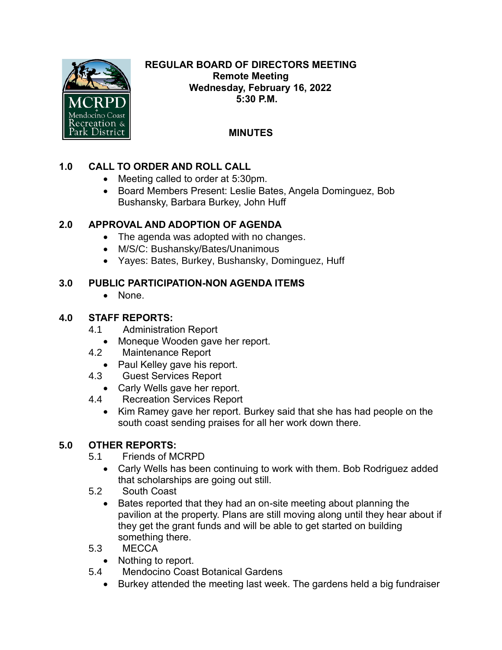

#### **REGULAR BOARD OF DIRECTORS MEETING Remote Meeting Wednesday, February 16, 2022 5:30 P.M.**

# **MINUTES**

## **1.0 CALL TO ORDER AND ROLL CALL**

- Meeting called to order at 5:30pm.
- Board Members Present: Leslie Bates, Angela Dominguez, Bob Bushansky, Barbara Burkey, John Huff

## **2.0 APPROVAL AND ADOPTION OF AGENDA**

- The agenda was adopted with no changes.
- M/S/C: Bushansky/Bates/Unanimous
- Yayes: Bates, Burkey, Bushansky, Dominguez, Huff

## **3.0 PUBLIC PARTICIPATION-NON AGENDA ITEMS**

• None.

## **4.0 STAFF REPORTS:**

- 4.1 Administration Report
	- Moneque Wooden gave her report.
- 4.2 Maintenance Report
	- Paul Kelley gave his report.
- 4.3 Guest Services Report
	- Carly Wells gave her report.
- 4.4 Recreation Services Report
	- Kim Ramey gave her report. Burkey said that she has had people on the south coast sending praises for all her work down there.

## **5.0 OTHER REPORTS:**

- 5.1 Friends of MCRPD
	- Carly Wells has been continuing to work with them. Bob Rodriguez added that scholarships are going out still.
- 5.2 South Coast
	- Bates reported that they had an on-site meeting about planning the pavilion at the property. Plans are still moving along until they hear about if they get the grant funds and will be able to get started on building something there.
- 5.3 MECCA
	- Nothing to report.
- 5.4 Mendocino Coast Botanical Gardens
	- Burkey attended the meeting last week. The gardens held a big fundraiser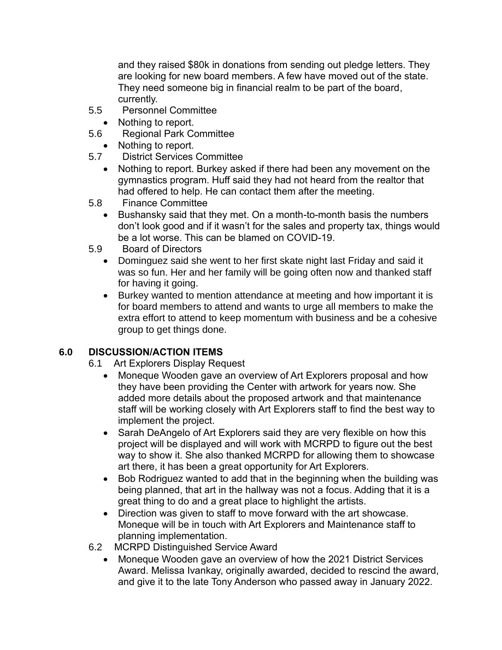and they raised \$80k in donations from sending out pledge letters. They are looking for new board members. A few have moved out of the state. They need someone big in financial realm to be part of the board, currently.

- 5.5 Personnel Committee
	- Nothing to report.
- 5.6 Regional Park Committee
	- Nothing to report.
- 5.7 District Services Committee
	- Nothing to report. Burkey asked if there had been any movement on the gymnastics program. Huff said they had not heard from the realtor that had offered to help. He can contact them after the meeting.
- 5.8 Finance Committee
	- Bushansky said that they met. On a month-to-month basis the numbers don't look good and if it wasn't for the sales and property tax, things would be a lot worse. This can be blamed on COVID-19.
- 5.9 Board of Directors
	- Dominguez said she went to her first skate night last Friday and said it was so fun. Her and her family will be going often now and thanked staff for having it going.
	- Burkey wanted to mention attendance at meeting and how important it is for board members to attend and wants to urge all members to make the extra effort to attend to keep momentum with business and be a cohesive group to get things done.

#### **6.0 DISCUSSION/ACTION ITEMS**

- 6.1 Art Explorers Display Request
	- Moneque Wooden gave an overview of Art Explorers proposal and how they have been providing the Center with artwork for years now. She added more details about the proposed artwork and that maintenance staff will be working closely with Art Explorers staff to find the best way to implement the project.
	- Sarah DeAngelo of Art Explorers said they are very flexible on how this project will be displayed and will work with MCRPD to figure out the best way to show it. She also thanked MCRPD for allowing them to showcase art there, it has been a great opportunity for Art Explorers.
	- Bob Rodriguez wanted to add that in the beginning when the building was being planned, that art in the hallway was not a focus. Adding that it is a great thing to do and a great place to highlight the artists.
	- Direction was given to staff to move forward with the art showcase. Moneque will be in touch with Art Explorers and Maintenance staff to planning implementation.
- 6.2 MCRPD Distinguished Service Award
	- Moneque Wooden gave an overview of how the 2021 District Services Award. Melissa Ivankay, originally awarded, decided to rescind the award, and give it to the late Tony Anderson who passed away in January 2022.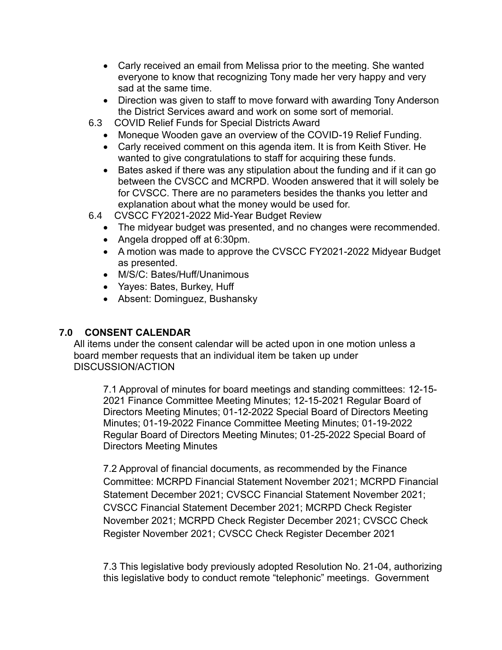- Carly received an email from Melissa prior to the meeting. She wanted everyone to know that recognizing Tony made her very happy and very sad at the same time.
- Direction was given to staff to move forward with awarding Tony Anderson the District Services award and work on some sort of memorial.
- 6.3 COVID Relief Funds for Special Districts Award
	- Moneque Wooden gave an overview of the COVID-19 Relief Funding.
	- Carly received comment on this agenda item. It is from Keith Stiver. He wanted to give congratulations to staff for acquiring these funds.
	- Bates asked if there was any stipulation about the funding and if it can go between the CVSCC and MCRPD. Wooden answered that it will solely be for CVSCC. There are no parameters besides the thanks you letter and explanation about what the money would be used for.
- 6.4 CVSCC FY2021-2022 Mid-Year Budget Review
	- The midyear budget was presented, and no changes were recommended.
	- Angela dropped off at 6:30pm.
	- A motion was made to approve the CVSCC FY2021-2022 Midyear Budget as presented.
	- M/S/C: Bates/Huff/Unanimous
	- Yayes: Bates, Burkey, Huff
	- Absent: Dominguez, Bushansky

## **7.0 CONSENT CALENDAR**

All items under the consent calendar will be acted upon in one motion unless a board member requests that an individual item be taken up under DISCUSSION/ACTION

7.1 Approval of minutes for board meetings and standing committees: 12-15- 2021 Finance Committee Meeting Minutes; 12-15-2021 Regular Board of Directors Meeting Minutes; 01-12-2022 Special Board of Directors Meeting Minutes; 01-19-2022 Finance Committee Meeting Minutes; 01-19-2022 Regular Board of Directors Meeting Minutes; 01-25-2022 Special Board of Directors Meeting Minutes

7.2 Approval of financial documents, as recommended by the Finance Committee: MCRPD Financial Statement November 2021; MCRPD Financial Statement December 2021; CVSCC Financial Statement November 2021; CVSCC Financial Statement December 2021; MCRPD Check Register November 2021; MCRPD Check Register December 2021; CVSCC Check Register November 2021; CVSCC Check Register December 2021

7.3 This legislative body previously adopted Resolution No. 21-04, authorizing this legislative body to conduct remote "telephonic" meetings. Government